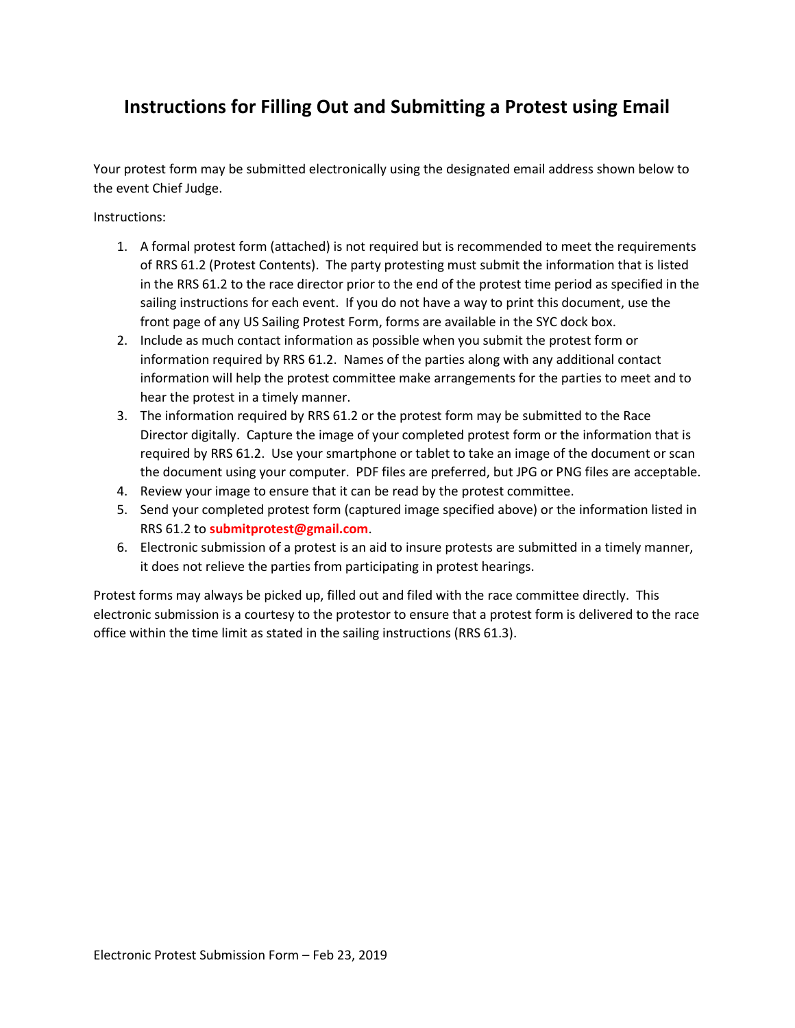## **Instructions for Filling Out and Submitting a Protest using Email**

Your protest form may be submitted electronically using the designated email address shown below to the event Chief Judge.

Instructions:

- 1. A formal protest form (attached) is not required but is recommended to meet the requirements of RRS 61.2 (Protest Contents). The party protesting must submit the information that is listed in the RRS 61.2 to the race director prior to the end of the protest time period as specified in the sailing instructions for each event. If you do not have a way to print this document, use the front page of any US Sailing Protest Form, forms are available in the SYC dock box.
- 2. Include as much contact information as possible when you submit the protest form or information required by RRS 61.2. Names of the parties along with any additional contact information will help the protest committee make arrangements for the parties to meet and to hear the protest in a timely manner.
- 3. The information required by RRS 61.2 or the protest form may be submitted to the Race Director digitally. Capture the image of your completed protest form or the information that is required by RRS 61.2. Use your smartphone or tablet to take an image of the document or scan the document using your computer. PDF files are preferred, but JPG or PNG files are acceptable.
- 4. Review your image to ensure that it can be read by the protest committee.
- 5. Send your completed protest form (captured image specified above) or the information listed in RRS 61.2 to **submitprotest@gmail.com**.
- 6. Electronic submission of a protest is an aid to insure protests are submitted in a timely manner, it does not relieve the parties from participating in protest hearings.

Protest forms may always be picked up, filled out and filed with the race committee directly. This electronic submission is a courtesy to the protestor to ensure that a protest form is delivered to the race office within the time limit as stated in the sailing instructions (RRS 61.3).